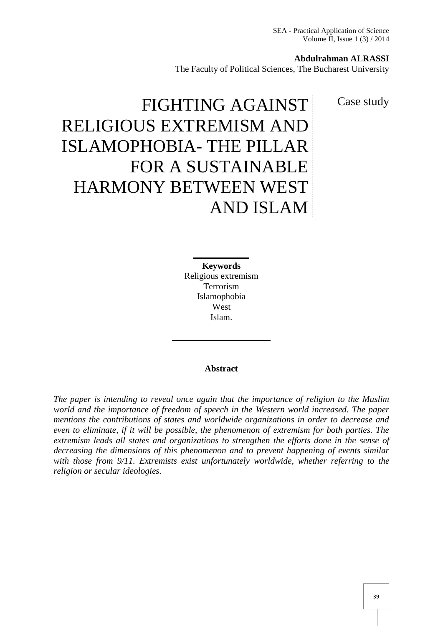SEA - Practical Application of Science Volume II, Issue 1 (3) / 2014

#### **Abdulrahman ALRASSI**

The Faculty of Political Sciences, The Bucharest University

Case study

# FIGHTING AGAINST RELIGIOUS EXTREMISM AND ISLAMOPHOBIA- THE PILLAR FOR A SUSTAINABLE HARMONY BETWEEN WEST AND ISLAM

**Keywords** Religious extremism Terrorism Islamophobia West Islam.

#### **Abstract**

*The paper is intending to reveal once again that the importance of religion to the Muslim world and the importance of freedom of speech in the Western world increased. The paper mentions the contributions of states and worldwide organizations in order to decrease and even to eliminate, if it will be possible, the phenomenon of extremism for both parties. The extremism leads all states and organizations to strengthen the efforts done in the sense of decreasing the dimensions of this phenomenon and to prevent happening of events similar with those from 9/11. Extremists exist unfortunately worldwide, whether referring to the religion or secular ideologies.*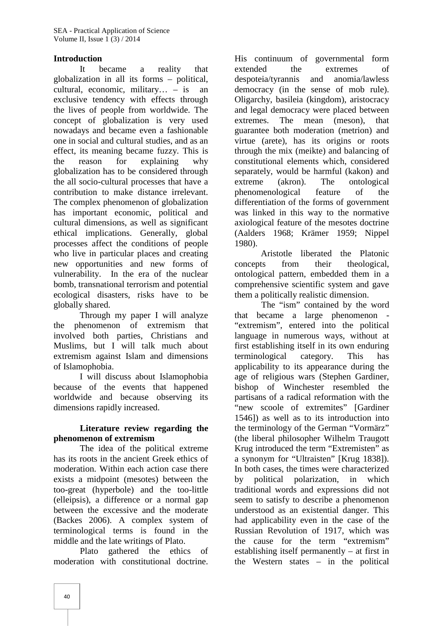#### **Introduction**

It became a reality that globalization in all its forms – political, cultural, economic, military… – is an exclusive tendency with effects through the lives of people from worldwide. The concept of globalization is very used nowadays and became even a fashionable one in social and cultural studies, and as an effect, its meaning became fuzzy. This is the reason for explaining why globalization has to be considered through the all socio-cultural processes that have a contribution to make distance irrelevant. The complex phenomenon of globalization has important economic, political and cultural dimensions, as well as significant ethical implications. Generally, global processes affect the conditions of people who live in particular places and creating new opportunities and new forms of vulnerability. In the era of the nuclear bomb, transnational terrorism and potential ecological disasters, risks have to be globally shared.

Through my paper I will analyze the phenomenon of extremism that involved both parties, Christians and Muslims, but I will talk much about extremism against Islam and dimensions of Islamophobia.

I will discuss about Islamophobia because of the events that happened worldwide and because observing its dimensions rapidly increased.

## **Literature review regarding the phenomenon of extremism**

The idea of the political extreme has its roots in the ancient Greek ethics of moderation. Within each action case there exists a midpoint (mesotes) between the too-great (hyperbole) and the too-little (elleipsis), a difference or a normal gap between the excessive and the moderate (Backes 2006). A complex system of terminological terms is found in the middle and the late writings of Plato.

Plato gathered the ethics of moderation with constitutional doctrine.

His continuum of governmental form extended the extremes of despoteia/tyrannis and anomia/lawless democracy (in the sense of mob rule). Oligarchy, basileia (kingdom), aristocracy and legal democracy were placed between The mean (meson), that guarantee both moderation (metrion) and virtue (arete), has its origins or roots through the mix (meikte) and balancing of constitutional elements which, considered separately, would be harmful (kakon) and  $(akron)$ . The ontological phenomenological feature of the differentiation of the forms of government was linked in this way to the normative axiological feature of the mesotes doctrine (Aalders 1968; Krämer 1959; Nippel 1980).

Aristotle liberated the Platonic concepts from their theological, ontological pattern, embedded them in a comprehensive scientific system and gave them a politically realistic dimension.

The "ism" contained by the word that became a large phenomenon - "extremism", entered into the political language in numerous ways, without at first establishing itself in its own enduring terminological category. This has applicability to its appearance during the age of religious wars (Stephen Gardiner, bishop of Winchester resembled the partisans of a radical reformation with the "new scoole of extremites" [Gardiner 1546]) as well as to its introduction into the terminology of the German "Vormärz" (the liberal philosopher Wilhelm Traugott Krug introduced the term "Extremisten" as a synonym for "Ultraisten" [Krug 1838]). In both cases, the times were characterized by political polarization, in which traditional words and expressions did not seem to satisfy to describe a phenomenon understood as an existential danger. This had applicability even in the case of the Russian Revolution of 1917, which was the cause for the term "extremism" establishing itself permanently – at first in the Western states – in the political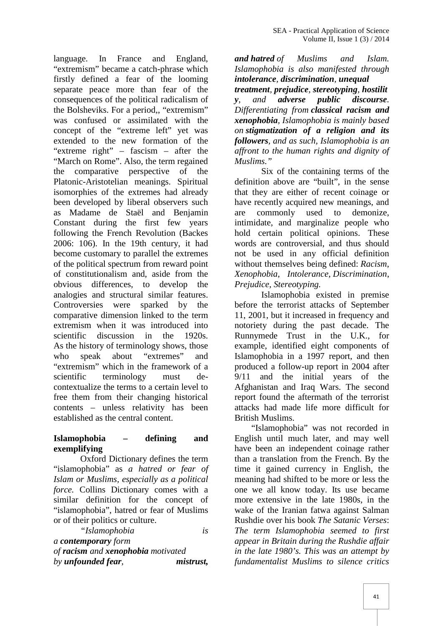language. In France and England, "extremism" became a catch-phrase which firstly defined a fear of the looming separate peace more than fear of the consequences of the political radicalism of the Bolsheviks. For a period,, "extremism" was confused or assimilated with the concept of the "extreme left" yet was extended to the new formation of the "extreme right" – fascism – after the "March on Rome". Also, the term regained the comparative perspective of the Platonic-Aristotelian meanings. Spiritual isomorphies of the extremes had already been developed by liberal observers such as Madame de Staël and Benjamin Constant during the first few years following the French Revolution (Backes 2006: 106). In the 19th century, it had become customary to parallel the extremes of the political spectrum from reward point of constitutionalism and, aside from the obvious differences, to develop the analogies and structural similar features. Controversies were sparked by the comparative dimension linked to the term extremism when it was introduced into scientific discussion in the 1920s. As the history of terminology shows, those who speak about "extremes" and "extremism" which in the framework of a scientific terminology must de contextualize the terms to a certain level to free them from their changing historical contents – unless relativity has been established as the central content.

## **Islamophobia – defining and exemplifying**

Oxford Dictionary defines the term "islamophobia" as *a hatred or fear of Islam or Muslims, especially as a political force.* Collins Dictionary comes with a similar definition for the concept of "islamophobia", hatred or fear of Muslims or of their politics or culture.

*"Islamophobia is a contemporary form of racism and xenophobia motivated by unfounded fear, mistrust,*

*and hatred of Muslims and Islam. Islamophobia is also manifested through intolerance, discrimination, unequal treatment, prejudice, stereotyping, hostilit y, and adverse public discourse. Differentiating from classical racism and xenophobia, Islamophobia is mainly based on stigmatization of a religion and its followers, and as such, Islamophobia is an affront to the human rights and dignity of Muslims."*

Six of the containing terms of the definition above are "built", in the sense that they are either of recent coinage or have recently acquired new meanings, and commonly used to demonize, intimidate, and marginalize people who hold certain political opinions. These words are controversial, and thus should not be used in any official definition without themselves being defined: *Racism*, *Xenophobia*, *Intolerance*, *Discrimination*, *Prejudice*, *Stereotyping.*

Islamophobia existed in premise before the terrorist attacks of September 11, 2001, but it increased in frequency and notoriety during the past decade. The Runnymede Trust in the U.K., for example, identified eight components of Islamophobia in a 1997 report, and then produced a follow-up report in 2004 after 9/11 and the initial years of the Afghanistan and Iraq Wars. The second report found the aftermath of the terrorist attacks had made life more difficult for British Muslims.

"Islamophobia" was not recorded in English until much later, and may well have been an independent coinage rather than a translation from the French. By the time it gained currency in English, the meaning had shifted to be more or less the one we all know today. Its use became more extensive in the late 1980s, in the wake of the Iranian fatwa against Salman Rushdie over his book *The Satanic Verses*: *The term Islamophobia seemed to first appear in Britain during the Rushdie affair in the late 1980's. This was an attempt by fundamentalist Muslims to silence critics*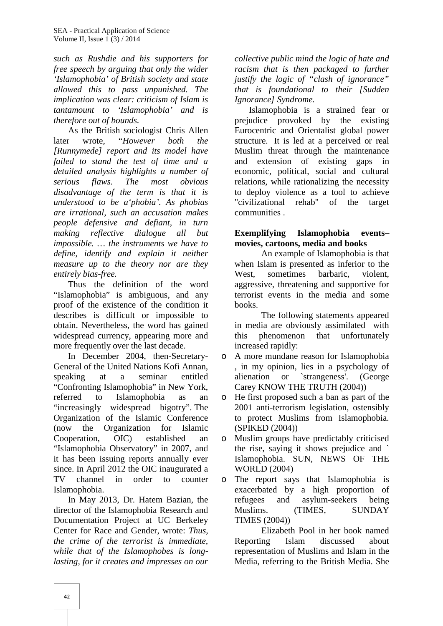*such as Rushdie and his supporters for free speech by arguing that only the wider 'Islamophobia' of British society and state allowed this to pass unpunished. The implication was clear: criticism of Islam is tantamount to 'Islamophobia' and is therefore out of bounds.*

As the British sociologist Chris Allen later wrote, "*However both the [Runnymede] report and its model have failed to stand the test of time and a detailed analysis highlights a number of serious flaws. The most obvious disadvantage of the term is that it is understood to be a'phobia'. As phobias are irrational, such an accusation makes people defensive and defiant, in turn making reflective dialogue all but impossible. … the instruments we have to define, identify and explain it neither measure up to the theory nor are they entirely bias-free.*

Thus the definition of the word "Islamophobia" is ambiguous, and any proof of the existence of the condition it describes is difficult or impossible to obtain. Nevertheless, the word has gained widespread currency, appearing more and this more frequently over the last decade.

In December 2004, then-Secretary- General of the United Nations Kofi Annan, speaking at a seminar entitled alienation "Confronting Islamophobia" in New York, referred to Islamophobia as an "increasingly widespread bigotry". The Organization of the Islamic Conference (now the Organization for Islamic Cooperation, OIC) established an "Islamophobia Observatory" in 2007, and it has been issuing reports annually ever since. In April 2012 the OIC inaugurated a TV channel in order to counter o Islamophobia.

In May 2013, Dr. Hatem Bazian, the director of the Islamophobia Research and Muslims. Documentation Project at UC Berkeley Center for Race and Gender, wrote: *Thus, the crime of the terrorist is immediate, while that of the Islamophobes is longlasting, for it creates and impresses on our*

*collective public mind the logic of hate and racism that is then packaged to further justify the logic of "clash of ignorance" that is foundational to their [Sudden Ignorance] Syndrome.*

Islamophobia is a strained fear or prejudice provoked by the existing Eurocentric and Orientalist global power structure. It is led at a perceived or real Muslim threat through the maintenance and extension of existing gaps in economic, political, social and cultural relations, while rationalizing the necessity to deploy violence as a tool to achieve "civilizational rehab" of the target communities .

#### **Exemplifying Islamophobia events– movies, cartoons, media and books**

An example of Islamophobia is that when Islam is presented as inferior to the West, sometimes barbaric, violent, aggressive, threatening and supportive for terrorist events in the media and some books.

The following statements appeared in media are obviously assimilated with phenomenon that unfortunately increased rapidly:

A more mundane reason for Islamophobia , in my opinion, lies in a psychology of or `strangeness'. (George Carey KNOW THE TRUTH (2004))

He first proposed such a ban as part of the 2001 anti-terrorism legislation, ostensibly to protect Muslims from Islamophobia. (SPIKED (2004))

Muslim groups have predictably criticised the rise, saying it shows prejudice and ` Islamophobia. SUN, NEWS OF THE WORLD (2004)

The report says that Islamophobia is exacerbated by a high proportion of and asylum-seekers being (TIMES, SUNDAY) TIMES (2004))

Elizabeth Pool in her book named Reporting Islam discussed about representation of Muslims and Islam in the Media, referring to the British Media. She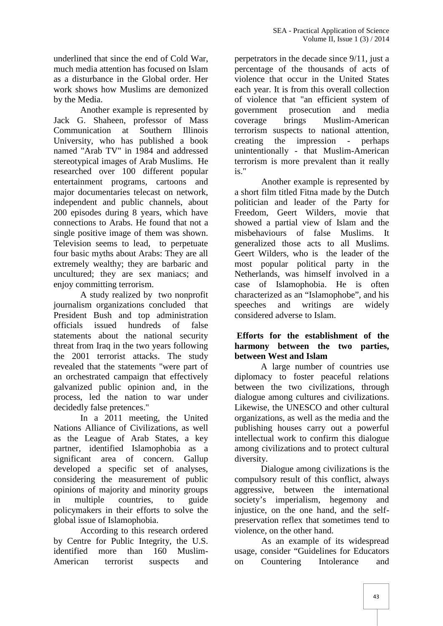underlined that since the end of Cold War, much media attention has focused on Islam as a disturbance in the Global order. Her work shows how Muslims are demonized by the Media.

Another example is represented by Jack G. Shaheen, professor of Mass Communication at Southern Illinois University, who has published a book creating named "Arab TV" in 1984 and addressed stereotypical images of Arab Muslims. He researched over 100 different popular entertainment programs, cartoons and major documentaries telecast on network, independent and public channels, about 200 episodes during 8 years, which have connections to Arabs. He found that not a single positive image of them was shown. Television seems to lead, to perpetuate four basic myths about Arabs: They are all extremely wealthy; they are barbaric and uncultured; they are sex maniacs; and enjoy committing terrorism.

A study realized by two nonprofit journalism organizations concluded that President Bush and top administration officials issued hundreds of false statements about the national security threat from Iraq in the two years following the 2001 terrorist attacks. The study revealed that the statements "were part of an orchestrated campaign that effectively galvanized public opinion and, in the process, led the nation to war under decidedly false pretences."

In a 2011 meeting, the United Nations Alliance of Civilizations, as well as the League of Arab States, a key partner, identified Islamophobia as a significant area of concern. Gallup developed a specific set of analyses, considering the measurement of public opinions of majority and minority groups in multiple countries, to guide policymakers in their efforts to solve the global issue of Islamophobia.

According to this research ordered by Centre for Public Integrity, the U.S. identified more than 160 Muslim- American terrorist suspects and on

perpetrators in the decade since 9/11, just a percentage of the thousands of acts of violence that occur in the United States each year. It is from this overall collection of violence that "an efficient system of prosecution and media coverage brings Muslim-American terrorism suspects to national attention, the impression - perhaps unintentionally - that Muslim-American terrorism is more prevalent than it really is."

Another example is represented by a short film titled Fitna made by the Dutch politician and leader of the Party for Freedom, Geert Wilders, movie that showed a partial view of Islam and the misbehaviours of false Muslims. It generalized those acts to all Muslims. Geert Wilders, who is the leader of the most popular political party in the Netherlands, was himself involved in a case of Islamophobia. He is often characterized as an "Islamophobe", and his speeches and writings are widely considered adverse to Islam.

## **Efforts for the establishment of the harmony between the two parties, between West and Islam**

A large number of countries use diplomacy to foster peaceful relations between the two civilizations, through dialogue among cultures and civilizations. Likewise, the UNESCO and other cultural organizations, as well as the media and the publishing houses carry out a powerful intellectual work to confirm this dialogue among civilizations and to protect cultural diversity.

Dialogue among civilizations is the compulsory result of this conflict, always aggressive, between the international society's imperialism, hegemony and injustice, on the one hand, and the self preservation reflex that sometimes tend to violence, on the other hand.

As an example of its widespread usage, consider "Guidelines for Educators Countering Intolerance and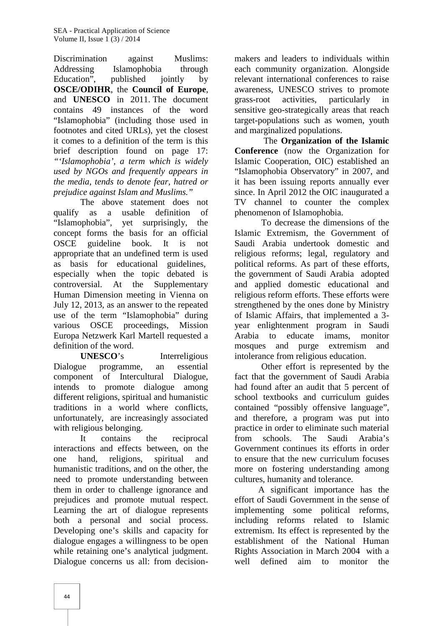Discrimination against Muslims: Addressing Islamophobia through Education", published jointly by **OSCE/ODIHR**, the **Council of Europe**, and **UNESCO** in 2011. The document contains 49 instances of the word "Islamophobia" (including those used in footnotes and cited URLs), yet the closest it comes to a definition of the term is this brief description found on page 17: *"'Islamophobia', a term which is widely used by NGOs and frequently appears in the media, tends to denote fear, hatred or prejudice against Islam and Muslims."*

The above statement does not qualify as a usable definition of "Islamophobia", yet surprisingly, the concept forms the basis for an official OSCE guideline book. It is not appropriate that an undefined term is used as basis for educational guidelines, especially when the topic debated is controversial. At the Supplementary Human Dimension meeting in Vienna on July 12, 2013, as an answer to the repeated use of the term "Islamophobia" during various OSCE proceedings, Mission Europa Netzwerk Karl Martell requested a definition of the word.

**UNESCO**'s Interreligious Dialogue programme, an essential component of Intercultural Dialogue, intends to promote dialogue among different religions, spiritual and humanistic traditions in a world where conflicts, unfortunately, are increasingly associated with religious belonging.

It contains the reciprocal interactions and effects between, on the one hand, religions, spiritual and humanistic traditions, and on the other, the need to promote understanding between them in order to challenge ignorance and prejudices and promote mutual respect. Learning the art of dialogue represents both a personal and social process. Developing one's skills and capacity for dialogue engages a willingness to be open while retaining one's analytical judgment. Dialogue concerns us all: from decision-

makers and leaders to individuals within each community organization. Alongside relevant international conferences to raise awareness, UNESCO strives to promote grass-root activities, particularly in sensitive geo-strategically areas that reach target-populations such as women, youth and marginalized populations.

The **Organization of the Islamic Conference** (now the Organization for Islamic Cooperation, OIC) established an "Islamophobia Observatory" in 2007, and it has been issuing reports annually ever since. In April 2012 the OIC inaugurated a TV channel to counter the complex phenomenon of Islamophobia.

To decrease the dimensions of the Islamic Extremism, the Government of Saudi Arabia undertook domestic and religious reforms; legal, regulatory and political reforms. As part of these efforts, the government of Saudi Arabia adopted and applied domestic educational and religious reform efforts. These efforts were strengthened by the ones done by Ministry of Islamic Affairs, that implemented a 3 year enlightenment program in Saudi to educate imams, monitor mosques and purge extremism and intolerance from religious education.

Other effort is represented by the fact that the government of Saudi Arabia had found after an audit that 5 percent of school textbooks and curriculum guides contained "possibly offensive language", and therefore, a program was put into practice in order to eliminate such material from schools. The Saudi Arabia's Government continues its efforts in order to ensure that the new curriculum focuses more on fostering understanding among cultures, humanity and tolerance.

A significant importance has the effort of Saudi Government in the sense of implementing some political reforms, including reforms related to Islamic extremism. Its effect is represented by the establishment of the National Human Rights Association in March 2004 with a well defined aim to monitor the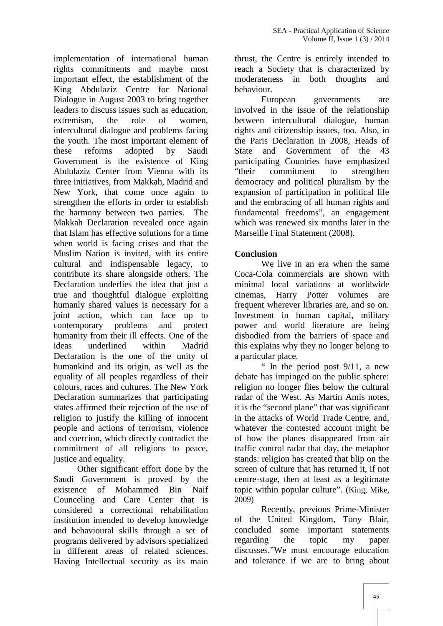implementation of international human rights commitments and maybe most important effect, the establishment of the King Abdulaziz Centre for National Dialogue in August 2003 to bring together leaders to discuss issues such as education, extremism, the role of women. intercultural dialogue and problems facing the youth. The most important element of these reforms adopted by Saudi Government is the existence of King Abdulaziz Center from Vienna with its three initiatives, from Makkah, Madrid and New York, that come once again to strengthen the efforts in order to establish the harmony between two parties. The Makkah Declaration revealed once again that Islam has effective solutions for a time when world is facing crises and that the Muslim Nation is invited, with its entire cultural and indispensable legacy, to contribute its share alongside others. The Declaration underlies the idea that just a true and thoughtful dialogue exploiting humanly shared values is necessary for a joint action, which can face up to contemporary problems and protect humanity from their ill effects. One of the ideas underlined within Madrid Declaration is the one of the unity of humankind and its origin, as well as the equality of all peoples regardless of their colours, races and cultures. The New York Declaration summarizes that participating states affirmed their rejection of the use of religion to justify the killing of innocent people and actions of terrorism, violence and coercion, which directly contradict the commitment of all religions to peace, justice and equality.

Other significant effort done by the Saudi Government is proved by the existence of Mohammed Bin Naif Counceling and Care Center that is considered a correctional rehabilitation institution intended to develop knowledge and behavioural skills through a set of programs delivered by advisors specialized in different areas of related sciences. Having Intellectual security as its main

thrust, the Centre is entirely intended to reach a Society that is characterized by moderateness in both thoughts and behaviour.

European governments are involved in the issue of the relationship between intercultural dialogue, human rights and citizenship issues, too. Also, in the Paris Declaration in 2008, Heads of State and Government of the 43 participating Countries have emphasized "their commitment to strengthen democracy and political pluralism by the expansion of participation in political life and the embracing of all human rights and fundamental freedoms", an engagement which was renewed six months later in the Marseille Final Statement (2008).

## **Conclusion**

We live in an era when the same Coca-Cola commercials are shown with minimal local variations at worldwide cinemas, Harry Potter volumes are frequent wherever libraries are, and so on. Investment in human capital, military power and world literature are being disbodied from the barriers of space and this explains why they no longer belong to a particular place.

" In the period post  $9/11$ , a new debate has impinged on the public sphere: religion no longer flies below the cultural radar of the West. As Martin Amis notes, it is the "second plane" that was significant in the attacks of World Trade Centre, and, whatever the contested account might be of how the planes disappeared from air traffic control radar that day, the metaphor stands: religion has created that blip on the screen of culture that has returned it, if not centre-stage, then at least as a legitimate topic within popular culture". (King, Mike, 2009)

Recently, previous Prime-Minister of the United Kingdom, Tony Blair, concluded some important statements regarding the topic my paper discusses."We must encourage education and tolerance if we are to bring about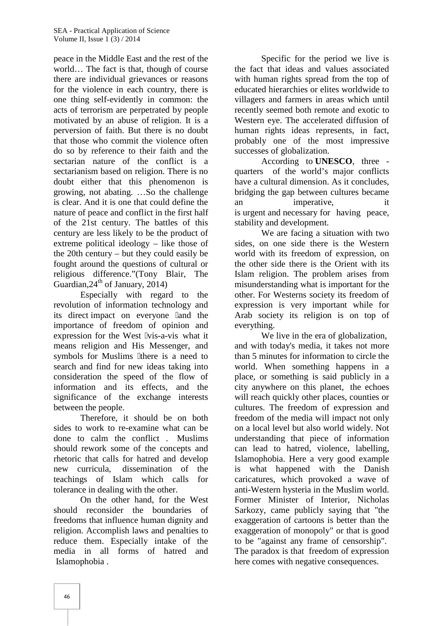peace in the Middle East and the rest of the world… The fact is that, though of course there are individual grievances or reasons for the violence in each country, there is one thing self-evidently in common: the acts of terrorism are perpetrated by people motivated by an abuse of religion. It is a perversion of faith. But there is no doubt that those who commit the violence often do so by reference to their faith and the sectarian nature of the conflict is a sectarianism based on religion. There is no doubt either that this phenomenon is growing, not abating. …So the challenge is clear. And it is one that could define the nature of peace and conflict in the first half of the 21st century. The battles of this century are less likely to be the product of extreme political ideology – like those of the 20th century – but they could easily be fought around the questions of cultural or religious difference."(Tony Blair, The Guardian,  $24^{\text{th}}$  of January, 2014)

Especially with regard to the revolution of information technology and its direct impact on everyone and the importance of freedom of opinion and expression for the West vis-a-vis what it means religion and His Messenger, and symbols for Muslims there is a need to search and find for new ideas taking into consideration the speed of the flow of information and its effects, and the significance of the exchange interests between the people.

Therefore, it should be on both sides to work to re-examine what can be done to calm the conflict . Muslims should rework some of the concepts and rhetoric that calls for hatred and develop new curricula, dissemination of the teachings of Islam which calls for tolerance in dealing with the other.

On the other hand, for the West should reconsider the boundaries of freedoms that influence human dignity and religion. Accomplish laws and penalties to reduce them. Especially intake of the media in all forms of hatred and Islamophobia .

Specific for the period we live is the fact that ideas and values associated with human rights spread from the top of educated hierarchies or elites worldwide to villagers and farmers in areas which until recently seemed both remote and exotic to Western eye. The accelerated diffusion of human rights ideas represents, in fact, probably one of the most impressive successes of globalization.

According to **UNESCO**, three quarters of the world's major conflicts have a cultural dimension. As it concludes, bridging the gap between cultures became imperative, it is urgent and necessary for having peace, stability and development.

We are facing a situation with two sides, on one side there is the Western world with its freedom of expression, on the other side there is the Orient with its Islam religion. The problem arises from misunderstanding what is important for the other. For Westerns society its freedom of expression is very important while for Arab society its religion is on top of everything.

We live in the era of globalization, and with today's media, it takes not more than 5 minutes for information to circle the world. When something happens in a place, or something is said publicly in a city anywhere on this planet, the echoes will reach quickly other places, counties or cultures. The freedom of expression and freedom of the media will impact not only on a local level but also world widely. Not understanding that piece of information can lead to hatred, violence, labelling, Islamophobia. Here a very good example what happened with the Danish caricatures, which provoked a wave of anti-Western hysteria in the Muslim world. Former Minister of Interior, Nicholas Sarkozy, came publicly saying that "the exaggeration of cartoons is better than the exaggeration of monopoly" or that is good to be "against any frame of censorship". The paradox is that freedom of expression here comes with negative consequences.